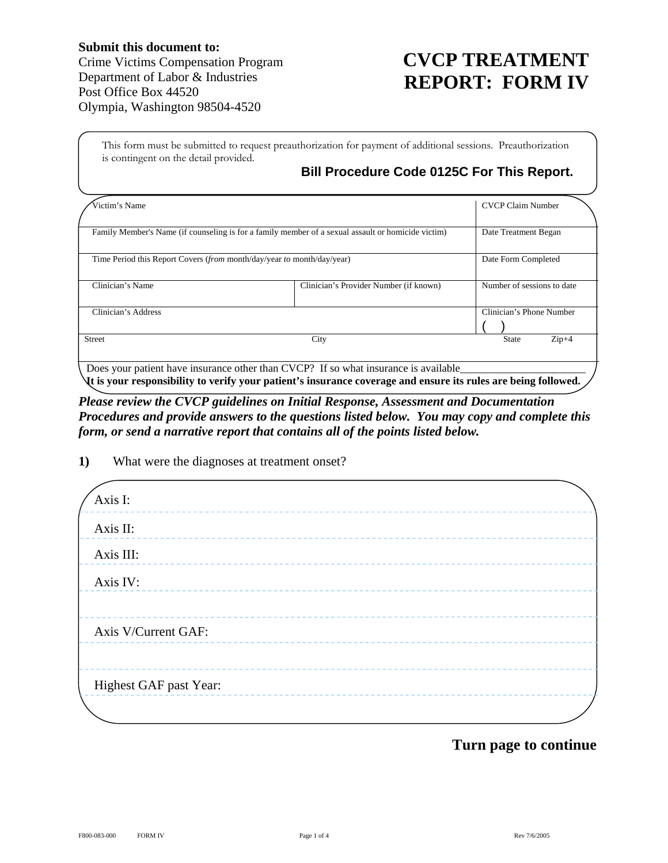## **CVCP TREATMENT REPORT: FORM IV**

This form must be submitted to request preauthorization for payment of additional sessions. Preauthorization is contingent on the detail provided.

## **Bill Procedure Code 0125C For This Report.**

| Victim's Name                                                          |                                                                                                    | <b>CVCP Claim Number</b>   |
|------------------------------------------------------------------------|----------------------------------------------------------------------------------------------------|----------------------------|
|                                                                        | Family Member's Name (if counseling is for a family member of a sexual assault or homicide victim) | Date Treatment Began       |
| Time Period this Report Covers (from month/day/year to month/day/year) |                                                                                                    | Date Form Completed        |
| Clinician's Name                                                       | Clinician's Provider Number (if known)                                                             | Number of sessions to date |
| Clinician's Address                                                    |                                                                                                    | Clinician's Phone Number   |
| <b>Street</b>                                                          | City                                                                                               | $Zip+4$<br><b>State</b>    |
|                                                                        | Does your patient have insurance other than CVCP? If so what insurance is available                |                            |

**It is your responsibility to verify your patient's insurance coverage and ensure its rules are being followed.**  *Please review the CVCP guidelines on Initial Response, Assessment and Documentation* 

*Procedures and provide answers to the questions listed below. You may copy and complete this form, or send a narrative report that contains all of the points listed below.* 

|  | 1) | What were the diagnoses at treatment onset? |
|--|----|---------------------------------------------|
|--|----|---------------------------------------------|

| Axis I:                |  |
|------------------------|--|
| Axis II:               |  |
| Axis III:              |  |
| Axis IV:               |  |
| ---------              |  |
| Axis V/Current GAF:    |  |
| -----------            |  |
| Highest GAF past Year: |  |
|                        |  |

## **Turn page to continue**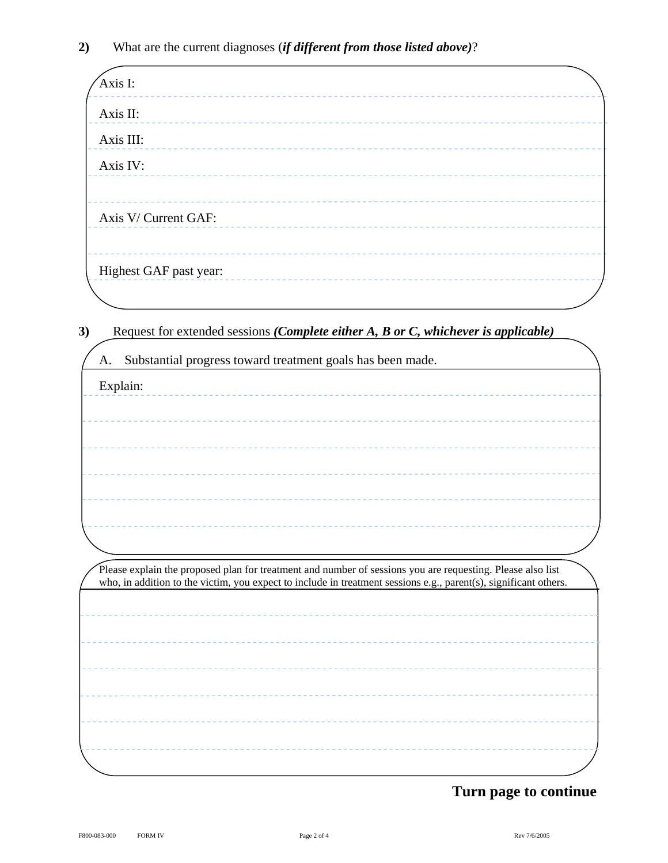| Axis I:                | ----------- |  |  |
|------------------------|-------------|--|--|
| Axis II:               |             |  |  |
| Axis III:              |             |  |  |
| Axis IV:               |             |  |  |
|                        |             |  |  |
| Axis V/ Current GAF:   |             |  |  |
|                        |             |  |  |
| Highest GAF past year: |             |  |  |
|                        |             |  |  |

**3)** Request for extended sessions *(Complete either A, B or C, whichever is applicable)*

| A. | Substantial progress toward treatment goals has been made.                                                       |
|----|------------------------------------------------------------------------------------------------------------------|
|    | Explain:                                                                                                         |
|    |                                                                                                                  |
|    |                                                                                                                  |
|    |                                                                                                                  |
|    |                                                                                                                  |
|    |                                                                                                                  |
|    |                                                                                                                  |
|    |                                                                                                                  |
|    |                                                                                                                  |
|    |                                                                                                                  |
|    | Please explain the proposed plan for treatment and number of sessions you are requesting. Please also list       |
|    | who, in addition to the victim, you expect to include in treatment sessions e.g., parent(s), significant others. |
|    |                                                                                                                  |
|    |                                                                                                                  |
|    |                                                                                                                  |
|    |                                                                                                                  |
|    |                                                                                                                  |
|    |                                                                                                                  |
|    |                                                                                                                  |

## **Turn page to continue**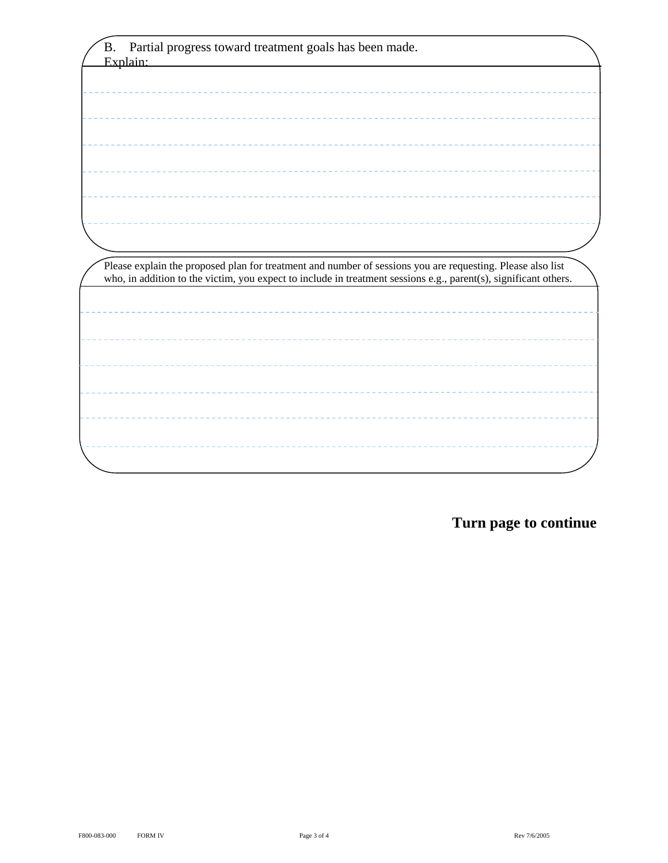| Please explain the proposed plan for treatment and number of sessions you are requesting. Please also list       |
|------------------------------------------------------------------------------------------------------------------|
| who, in addition to the victim, you expect to include in treatment sessions e.g., parent(s), significant others. |
|                                                                                                                  |
|                                                                                                                  |
|                                                                                                                  |
|                                                                                                                  |
|                                                                                                                  |
|                                                                                                                  |
|                                                                                                                  |
|                                                                                                                  |
|                                                                                                                  |
|                                                                                                                  |
|                                                                                                                  |
|                                                                                                                  |
|                                                                                                                  |
|                                                                                                                  |

**Turn page to continue**